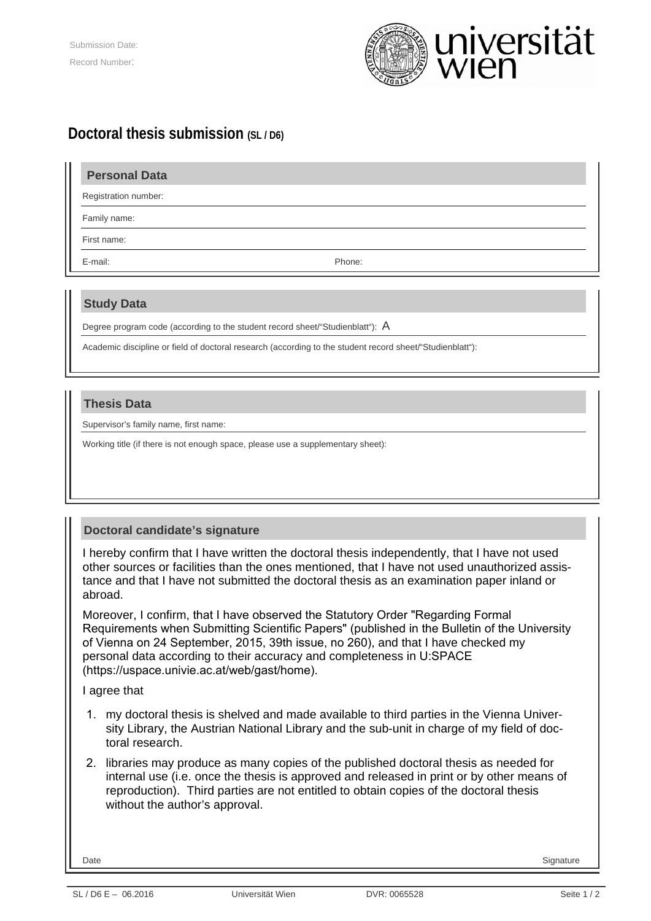

# **Doctoral thesis submission (SL / D6)**

### **Personal Data**

Registration number:

Family name:

First name:

E-mail: Phone:

### **Study Data**

Degree program code (according to the student record sheet/"Studienblatt"): A

Academic discipline or field of doctoral research (according to the student record sheet/"Studienblatt"):

#### **Thesis Data**

Supervisor's family name, first name:

Working title (if there is not enough space, please use a supplementary sheet):

## **Doctoral candidate's signature**

I hereby confirm that I have written the doctoral thesis independently, that I have not used other sources or facilities than the ones mentioned, that I have not used unauthorized assistance and that I have not submitted the doctoral thesis as an examination paper inland or abroad.

Moreover, I confirm, that I have observed the Statutory Order "Regarding Formal Requirements when Submitting Scientific Papers" (published in the Bulletin of the University of Vienna on 24 September, 2015, 39th issue, no 260), and that I have checked my personal data according to their accuracy and completeness in U:SPACE (https://uspace.univie.ac.at/web/gast/home).

I agree that

- 1. my doctoral thesis is shelved and made available to third parties in the Vienna University Library, the Austrian National Library and the sub-unit in charge of my field of doctoral research.
- 2. libraries may produce as many copies of the published doctoral thesis as needed for internal use (i.e. once the thesis is approved and released in print or by other means of reproduction). Third parties are not entitled to obtain copies of the doctoral thesis without the author's approval.

Date Signature Signature (Section 2001) 2012 12:30 12:30 12:30 12:30 12:30 12:30 12:30 12:30 12:30 12:30 12:30